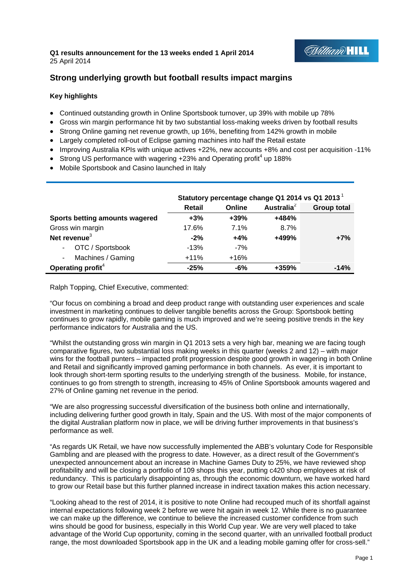# **Q1 results announcement for the 13 weeks ended 1 April 2014**  25 April 2014

# **Milliam HILL**

# **Strong underlying growth but football results impact margins**

# **Key highlights**

- Continued outstanding growth in Online Sportsbook turnover, up 39% with mobile up 78%
- Gross win margin performance hit by two substantial loss-making weeks driven by football results
- Strong Online gaming net revenue growth, up 16%, benefiting from 142% growth in mobile
- Largely completed roll-out of Eclipse gaming machines into half the Retail estate
- $\bullet$  Improving Australia KPIs with unique actives  $+22\%$ , new accounts  $+8\%$  and cost per acquisition -11%
- Strong US performance with wagering  $+23%$  and Operating profit<sup>4</sup> up 188%
- Mobile Sportsbook and Casino launched in Italy

|                                     | Statutory percentage change Q1 2014 vs Q1 2013 <sup>1</sup> |        |               |                    |
|-------------------------------------|-------------------------------------------------------------|--------|---------------|--------------------|
|                                     | Retail                                                      | Online | Australia $2$ | <b>Group total</b> |
| Sports betting amounts wagered      | $+3%$                                                       | $+39%$ | $+484%$       |                    |
| Gross win margin                    | 17.6%                                                       | 7.1%   | 8.7%          |                    |
| Net revenue <sup>3</sup>            | $-2%$                                                       | $+4%$  | +499%         | $+7%$              |
| OTC / Sportsbook<br>$\sim$          | $-13%$                                                      | $-7%$  |               |                    |
| Machines / Gaming<br>$\blacksquare$ | $+11%$                                                      | $+16%$ |               |                    |
| Operating profit <sup>4</sup>       | $-25%$                                                      | $-6%$  | +359%         | $-14%$             |

Ralph Topping, Chief Executive, commented:

"Our focus on combining a broad and deep product range with outstanding user experiences and scale investment in marketing continues to deliver tangible benefits across the Group: Sportsbook betting continues to grow rapidly, mobile gaming is much improved and we're seeing positive trends in the key performance indicators for Australia and the US.

"Whilst the outstanding gross win margin in Q1 2013 sets a very high bar, meaning we are facing tough comparative figures, two substantial loss making weeks in this quarter (weeks 2 and 12) – with major wins for the football punters – impacted profit progression despite good growth in wagering in both Online and Retail and significantly improved gaming performance in both channels. As ever, it is important to look through short-term sporting results to the underlying strength of the business. Mobile, for instance, continues to go from strength to strength, increasing to 45% of Online Sportsbook amounts wagered and 27% of Online gaming net revenue in the period.

"We are also progressing successful diversification of the business both online and internationally, including delivering further good growth in Italy, Spain and the US. With most of the major components of the digital Australian platform now in place, we will be driving further improvements in that business's performance as well.

"As regards UK Retail, we have now successfully implemented the ABB's voluntary Code for Responsible Gambling and are pleased with the progress to date. However, as a direct result of the Government's unexpected announcement about an increase in Machine Games Duty to 25%, we have reviewed shop profitability and will be closing a portfolio of 109 shops this year, putting c420 shop employees at risk of redundancy. This is particularly disappointing as, through the economic downturn, we have worked hard to grow our Retail base but this further planned increase in indirect taxation makes this action necessary.

"Looking ahead to the rest of 2014, it is positive to note Online had recouped much of its shortfall against internal expectations following week 2 before we were hit again in week 12. While there is no guarantee we can make up the difference, we continue to believe the increased customer confidence from such wins should be good for business, especially in this World Cup year. We are very well placed to take advantage of the World Cup opportunity, coming in the second quarter, with an unrivalled football product range, the most downloaded Sportsbook app in the UK and a leading mobile gaming offer for cross-sell."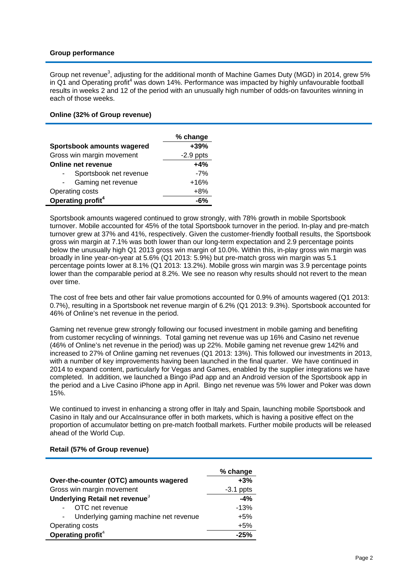### **Group performance**

Group net revenue<sup>3</sup>, adjusting for the additional month of Machine Games Duty (MGD) in 2014, grew 5% in Q1 and Operating profit<sup>4</sup> was down 14%. Performance was impacted by highly unfavourable football results in weeks 2 and 12 of the period with an unusually high number of odds-on favourites winning in each of those weeks.

#### **Online (32% of Group revenue)**

|                               | % change    |
|-------------------------------|-------------|
| Sportsbook amounts wagered    | $+39%$      |
| Gross win margin movement     | $-2.9$ ppts |
| Online net revenue            | $+4%$       |
| Sportsbook net revenue        | $-7%$       |
| Gaming net revenue            | $+16%$      |
| Operating costs               | $+8%$       |
| Operating profit <sup>4</sup> | -6%         |

Sportsbook amounts wagered continued to grow strongly, with 78% growth in mobile Sportsbook turnover. Mobile accounted for 45% of the total Sportsbook turnover in the period. In-play and pre-match turnover grew at 37% and 41%, respectively. Given the customer-friendly football results, the Sportsbook gross win margin at 7.1% was both lower than our long-term expectation and 2.9 percentage points below the unusually high Q1 2013 gross win margin of 10.0%. Within this, in-play gross win margin was broadly in line year-on-year at 5.6% (Q1 2013: 5.9%) but pre-match gross win margin was 5.1 percentage points lower at 8.1% (Q1 2013: 13.2%). Mobile gross win margin was 3.9 percentage points lower than the comparable period at 8.2%. We see no reason why results should not revert to the mean over time.

The cost of free bets and other fair value promotions accounted for 0.9% of amounts wagered (Q1 2013: 0.7%), resulting in a Sportsbook net revenue margin of 6.2% (Q1 2013: 9.3%). Sportsbook accounted for 46% of Online's net revenue in the period.

Gaming net revenue grew strongly following our focused investment in mobile gaming and benefiting from customer recycling of winnings. Total gaming net revenue was up 16% and Casino net revenue (46% of Online's net revenue in the period) was up 22%. Mobile gaming net revenue grew 142% and increased to 27% of Online gaming net revenues (Q1 2013: 13%). This followed our investments in 2013, with a number of key improvements having been launched in the final quarter. We have continued in 2014 to expand content, particularly for Vegas and Games, enabled by the supplier integrations we have completed. In addition, we launched a Bingo iPad app and an Android version of the Sportsbook app in the period and a Live Casino iPhone app in April. Bingo net revenue was 5% lower and Poker was down 15%.

We continued to invest in enhancing a strong offer in Italy and Spain, launching mobile Sportsbook and Casino in Italy and our AccaInsurance offer in both markets, which is having a positive effect on the proportion of accumulator betting on pre-match football markets. Further mobile products will be released ahead of the World Cup.

|                                            | % change    |
|--------------------------------------------|-------------|
| Over-the-counter (OTC) amounts wagered     | $+3%$       |
| Gross win margin movement                  | $-3.1$ ppts |
| Underlying Retail net revenue <sup>3</sup> | $-4%$       |
| OTC net revenue                            | $-13%$      |
| Underlying gaming machine net revenue      | $+5%$       |
| Operating costs                            | $+5%$       |
| Operating profit <sup>4</sup>              | $-25%$      |

# **Retail (57% of Group revenue)**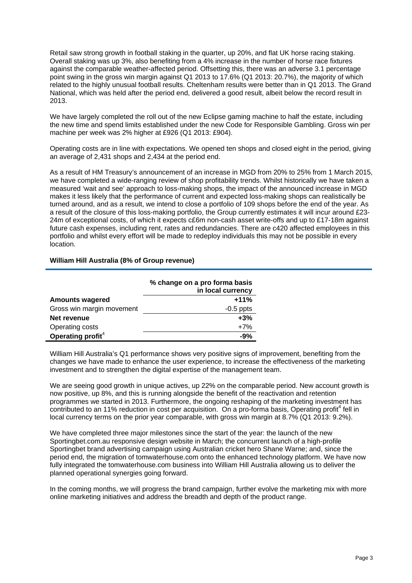Retail saw strong growth in football staking in the quarter, up 20%, and flat UK horse racing staking. Overall staking was up 3%, also benefiting from a 4% increase in the number of horse race fixtures against the comparable weather-affected period. Offsetting this, there was an adverse 3.1 percentage point swing in the gross win margin against Q1 2013 to 17.6% (Q1 2013: 20.7%), the majority of which related to the highly unusual football results. Cheltenham results were better than in Q1 2013. The Grand National, which was held after the period end, delivered a good result, albeit below the record result in 2013.

We have largely completed the roll out of the new Eclipse gaming machine to half the estate, including the new time and spend limits established under the new Code for Responsible Gambling. Gross win per machine per week was 2% higher at £926 (Q1 2013: £904).

Operating costs are in line with expectations. We opened ten shops and closed eight in the period, giving an average of 2,431 shops and 2,434 at the period end.

As a result of HM Treasury's announcement of an increase in MGD from 20% to 25% from 1 March 2015, we have completed a wide-ranging review of shop profitability trends. Whilst historically we have taken a measured 'wait and see' approach to loss-making shops, the impact of the announced increase in MGD makes it less likely that the performance of current and expected loss-making shops can realistically be turned around, and as a result, we intend to close a portfolio of 109 shops before the end of the year. As a result of the closure of this loss-making portfolio, the Group currently estimates it will incur around £23- 24m of exceptional costs, of which it expects c£6m non-cash asset write-offs and up to £17-18m against future cash expenses, including rent, rates and redundancies. There are c420 affected employees in this portfolio and whilst every effort will be made to redeploy individuals this may not be possible in every location.

#### **William Hill Australia (8% of Group revenue)**

|                               | % change on a pro forma basis<br>in local currency |
|-------------------------------|----------------------------------------------------|
| <b>Amounts wagered</b>        | $+11%$                                             |
| Gross win margin movement     | $-0.5$ ppts                                        |
| Net revenue                   | $+3%$                                              |
| Operating costs               | $+7%$                                              |
| Operating profit <sup>4</sup> | $-9%$                                              |

William Hill Australia's Q1 performance shows very positive signs of improvement, benefiting from the changes we have made to enhance the user experience, to increase the effectiveness of the marketing investment and to strengthen the digital expertise of the management team.

We are seeing good growth in unique actives, up 22% on the comparable period. New account growth is now positive, up 8%, and this is running alongside the benefit of the reactivation and retention programmes we started in 2013. Furthermore, the ongoing reshaping of the marketing investment has  $\overline{\phantom{a}}$  contributed to an 11% reduction in cost per acquisition. On a pro-forma basis, Operating profit<sup>4</sup> fell in local currency terms on the prior year comparable, with gross win margin at 8.7% (Q1 2013: 9.2%).

We have completed three major milestones since the start of the year: the launch of the new Sportingbet.com.au responsive design website in March; the concurrent launch of a high-profile Sportingbet brand advertising campaign using Australian cricket hero Shane Warne; and, since the period end, the migration of tomwaterhouse.com onto the enhanced technology platform. We have now fully integrated the tomwaterhouse.com business into William Hill Australia allowing us to deliver the planned operational synergies going forward.

In the coming months, we will progress the brand campaign, further evolve the marketing mix with more online marketing initiatives and address the breadth and depth of the product range.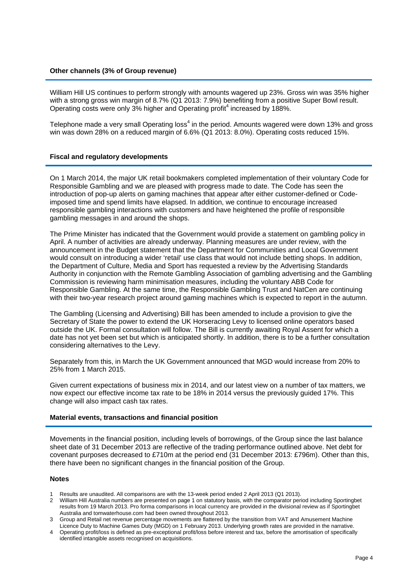#### **Other channels (3% of Group revenue)**

William Hill US continues to perform strongly with amounts wagered up 23%. Gross win was 35% higher with a strong gross win margin of 8.7% (Q1 2013: 7.9%) benefiting from a positive Super Bowl result. Operating costs were only 3% higher and Operating profit<sup>4</sup> increased by 188%.

Telephone made a very small Operating loss<sup>4</sup> in the period. Amounts wagered were down 13% and gross win was down 28% on a reduced margin of 6.6% (Q1 2013: 8.0%). Operating costs reduced 15%.

#### **Fiscal and regulatory developments**

On 1 March 2014, the major UK retail bookmakers completed implementation of their voluntary Code for Responsible Gambling and we are pleased with progress made to date. The Code has seen the introduction of pop-up alerts on gaming machines that appear after either customer-defined or Codeimposed time and spend limits have elapsed. In addition, we continue to encourage increased responsible gambling interactions with customers and have heightened the profile of responsible gambling messages in and around the shops.

The Prime Minister has indicated that the Government would provide a statement on gambling policy in April. A number of activities are already underway. Planning measures are under review, with the announcement in the Budget statement that the Department for Communities and Local Government would consult on introducing a wider 'retail' use class that would not include betting shops. In addition, the Department of Culture, Media and Sport has requested a review by the Advertising Standards Authority in conjunction with the Remote Gambling Association of gambling advertising and the Gambling Commission is reviewing harm minimisation measures, including the voluntary ABB Code for Responsible Gambling. At the same time, the Responsible Gambling Trust and NatCen are continuing with their two-year research project around gaming machines which is expected to report in the autumn.

The Gambling (Licensing and Advertising) Bill has been amended to include a provision to give the Secretary of State the power to extend the UK Horseracing Levy to licensed online operators based outside the UK. Formal consultation will follow. The Bill is currently awaiting Royal Assent for which a date has not yet been set but which is anticipated shortly. In addition, there is to be a further consultation considering alternatives to the Levy.

Separately from this, in March the UK Government announced that MGD would increase from 20% to 25% from 1 March 2015.

Given current expectations of business mix in 2014, and our latest view on a number of tax matters, we now expect our effective income tax rate to be 18% in 2014 versus the previously guided 17%. This change will also impact cash tax rates.

#### **Material events, transactions and financial position**

Movements in the financial position, including levels of borrowings, of the Group since the last balance sheet date of 31 December 2013 are reflective of the trading performance outlined above. Net debt for covenant purposes decreased to £710m at the period end (31 December 2013: £796m). Other than this, there have been no significant changes in the financial position of the Group.

#### **Notes**

- 1 Results are unaudited. All comparisons are with the 13-week period ended 2 April 2013 (Q1 2013).<br>2 William Hill Australia numbers are presented on page 1 on statutory basis, with the comparator peri
- 2 William Hill Australia numbers are presented on page 1 on statutory basis, with the comparator period including Sportingbet results from 19 March 2013. Pro forma comparisons in local currency are provided in the divisional review as if Sportingbet Australia and tomwaterhouse.com had been owned throughout 2013.
- 3 Group and Retail net revenue percentage movements are flattered by the transition from VAT and Amusement Machine Licence Duty to Machine Games Duty (MGD) on 1 February 2013. Underlying growth rates are provided in the narrative.
- 4 Operating profit/loss is defined as pre-exceptional profit/loss before interest and tax, before the amortisation of specifically identified intangible assets recognised on acquisitions.